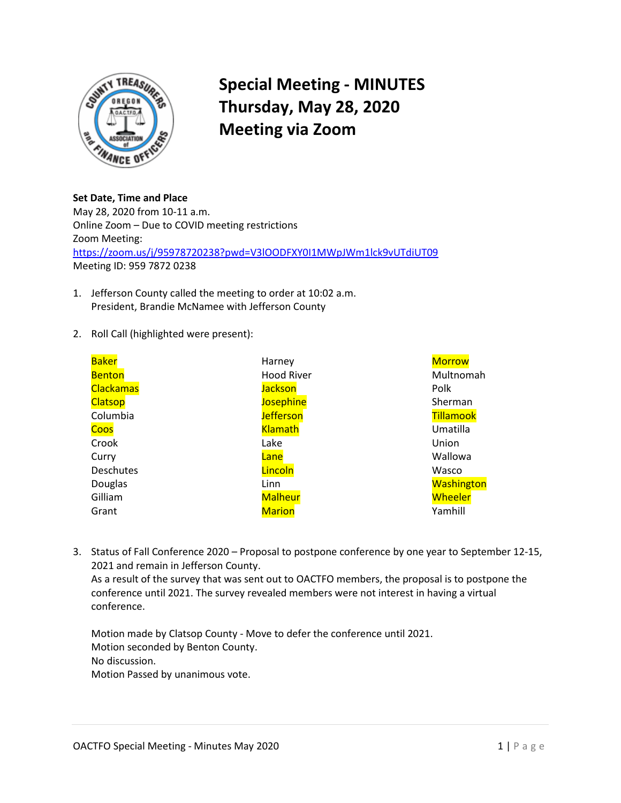

## **Special Meeting - MINUTES Thursday, May 28, 2020 Meeting via Zoom**

**Set Date, Time and Place**  May 28, 2020 from 10-11 a.m. Online Zoom – Due to COVID meeting restrictions Zoom Meeting: <https://zoom.us/j/95978720238?pwd=V3lOODFXY0I1MWpJWm1lck9vUTdiUT09> Meeting ID: 959 7872 0238

- 1. Jefferson County called the meeting to order at 10:02 a.m. President, Brandie McNamee with Jefferson County
- 2. Roll Call (highlighted were present):

| <b>Baker</b>     | Harney            | <b>Morrow</b>     |
|------------------|-------------------|-------------------|
| <b>Benton</b>    | <b>Hood River</b> | Multnomah         |
| <b>Clackamas</b> | <b>Jackson</b>    | Polk              |
| Clatsop          | <b>Josephine</b>  | Sherman           |
| Columbia         | <b>Jefferson</b>  | Tillamook         |
| <b>Coos</b>      | <b>Klamath</b>    | Umatilla          |
| Crook            | Lake              | Union             |
| Curry            | Lane              | Wallowa           |
| Deschutes        | Lincoln           | Wasco             |
| Douglas          | Linn              | <b>Washington</b> |
| Gilliam          | <b>Malheur</b>    | Wheeler           |
| Grant            | <b>Marion</b>     | Yamhill           |

3. Status of Fall Conference 2020 – Proposal to postpone conference by one year to September 12-15, 2021 and remain in Jefferson County. As a result of the survey that was sent out to OACTFO members, the proposal is to postpone the conference until 2021. The survey revealed members were not interest in having a virtual conference.

Motion made by Clatsop County - Move to defer the conference until 2021. Motion seconded by Benton County. No discussion. Motion Passed by unanimous vote.